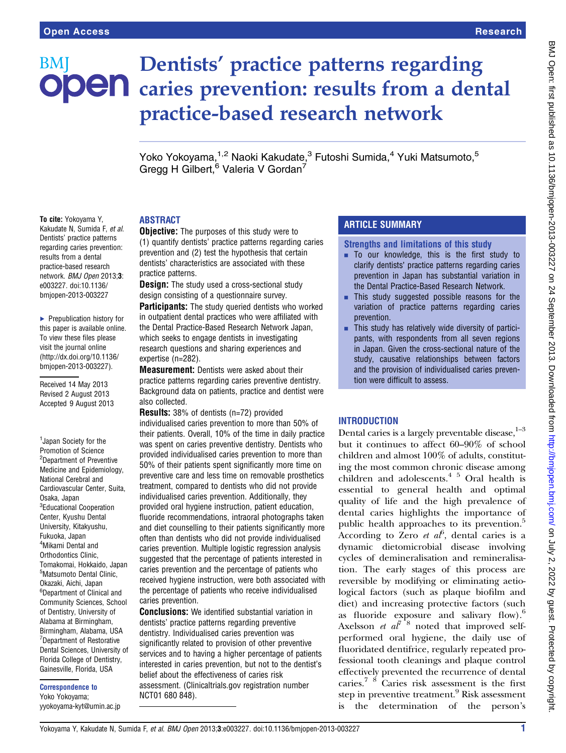# Dentists' practice patterns regarding BMI ODEN caries prevention: results from a dental practice-based research network

Yoko Yokoyama,<sup>1,2</sup> Naoki Kakudate,<sup>3</sup> Futoshi Sumida,<sup>4</sup> Yuki Matsumoto,<sup>5</sup> Gregg H Gilbert, <sup>6</sup> Valeria V Gordan<sup>7</sup>

#### To cite: Yokoyama Y, Kakudate N, Sumida F, et al. Dentists' practice patterns regarding caries prevention: results from a dental practice-based research network. BMJ Open 2013;3: e003227. doi:10.1136/ bmjopen-2013-003227

▶ Prepublication history for this paper is available online. To view these files please visit the journal online [\(http://dx.doi.org/10.1136/](http://dx.doi.org/10.1136/bmjopen-2013-003227) [bmjopen-2013-003227](http://dx.doi.org/10.1136/bmjopen-2013-003227)).

Received 14 May 2013 Revised 2 August 2013 Accepted 9 August 2013

<sup>1</sup>Japan Society for the Promotion of Science <sup>2</sup>Department of Preventive Medicine and Epidemiology, National Cerebral and Cardiovascular Center, Suita, Osaka, Japan <sup>3</sup>Educational Cooperation Center, Kyushu Dental University, Kitakyushu, Fukuoka, Japan 4 Mikami Dental and Orthodontics Clinic, Tomakomai, Hokkaido, Japan 5 Matsumoto Dental Clinic, Okazaki, Aichi, Japan 6 Department of Clinical and Community Sciences, School of Dentistry, University of Alabama at Birmingham, Birmingham, Alabama, USA <sup>7</sup>Department of Restorative Dental Sciences, University of Florida College of Dentistry, Gainesville, Florida, USA

Correspondence to Yoko Yokoyama; yyokoyama-kyt@umin.ac.jp

# ABSTRACT

**Objective:** The purposes of this study were to (1) quantify dentists' practice patterns regarding caries prevention and (2) test the hypothesis that certain dentists' characteristics are associated with these practice patterns.

**Design:** The study used a cross-sectional study design consisting of a questionnaire survey.

**Participants:** The study queried dentists who worked in outpatient dental practices who were affiliated with the Dental Practice-Based Research Network Japan, which seeks to engage dentists in investigating research questions and sharing experiences and expertise (n=282).

**Measurement:** Dentists were asked about their practice patterns regarding caries preventive dentistry. Background data on patients, practice and dentist were also collected.

Results: 38% of dentists (n=72) provided individualised caries prevention to more than 50% of their patients. Overall, 10% of the time in daily practice was spent on caries preventive dentistry. Dentists who provided individualised caries prevention to more than 50% of their patients spent significantly more time on preventive care and less time on removable prosthetics treatment, compared to dentists who did not provide individualised caries prevention. Additionally, they provided oral hygiene instruction, patient education, fluoride recommendations, intraoral photographs taken and diet counselling to their patients significantly more often than dentists who did not provide individualised caries prevention. Multiple logistic regression analysis suggested that the percentage of patients interested in caries prevention and the percentage of patients who received hygiene instruction, were both associated with the percentage of patients who receive individualised caries prevention.

**Conclusions:** We identified substantial variation in dentists' practice patterns regarding preventive dentistry. Individualised caries prevention was significantly related to provision of other preventive services and to having a higher percentage of patients interested in caries prevention, but not to the dentist's belief about the effectiveness of caries risk assessment. (Clinicaltrials.gov registration number NCT01 680 848).

# ARTICLE SUMMARY

Strengths and limitations of this study

- To our knowledge, this is the first study to clarify dentists' practice patterns regarding caries prevention in Japan has substantial variation in the Dental Practice-Based Research Network.
- $\blacksquare$  This study suggested possible reasons for the variation of practice patterns regarding caries prevention.
- $\blacksquare$  This study has relatively wide diversity of participants, with respondents from all seven regions in Japan. Given the cross-sectional nature of the study, causative relationships between factors and the provision of individualised caries prevention were difficult to assess.

## **INTRODUCTION**

Dental caries is a largely preventable disease, $1-3$ but it continues to affect 60–90% of school children and almost 100% of adults, constituting the most common chronic disease among children and adolescents.<sup>4 5</sup> Oral health is essential to general health and optimal quality of life and the high prevalence of dental caries highlights the importance of public health approaches to its prevention.<sup>5</sup> According to Zero et  $a t^6$ , dental caries is a dynamic dietomicrobial disease involving cycles of demineralisation and remineralisation. The early stages of this process are reversible by modifying or eliminating aetiological factors (such as plaque biofilm and diet) and increasing protective factors (such as fluoride exposure and salivary flow).<sup>6</sup> Axelsson *et al*<sup> $7\text{ }$ 8 noted that improved self-</sup> performed oral hygiene, the daily use of fluoridated dentifrice, regularly repeated professional tooth cleanings and plaque control effectively prevented the recurrence of dental caries.7 8 Caries risk assessment is the first step in preventive treatment.<sup>9</sup> Risk assessment is the determination of the person's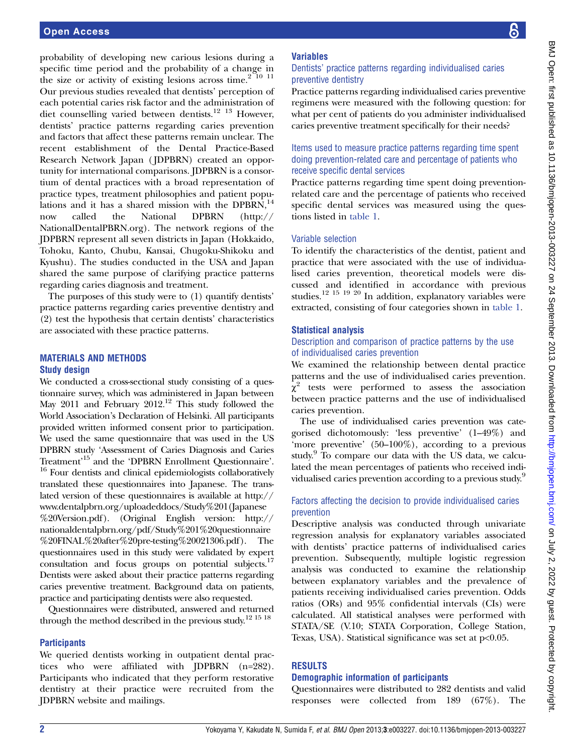probability of developing new carious lesions during a specific time period and the probability of a change in the size or activity of existing lesions across time.<sup>2 10</sup> <sup>11</sup> Our previous studies revealed that dentists' perception of each potential caries risk factor and the administration of diet counselling varied between dentists.<sup>12</sup> <sup>13</sup> However, dentists' practice patterns regarding caries prevention and factors that affect these patterns remain unclear. The recent establishment of the Dental Practice-Based Research Network Japan ( JDPBRN) created an opportunity for international comparisons. JDPBRN is a consortium of dental practices with a broad representation of practice types, treatment philosophies and patient populations and it has a shared mission with the DPBRN,<sup>14</sup> now called the National DPBRN ([http://](http://NationalDentalPBRN.org) [NationalDentalPBRN.org\)](http://NationalDentalPBRN.org). The network regions of the JDPBRN represent all seven districts in Japan (Hokkaido, Tohoku, Kanto, Chubu, Kansai, Chugoku-Shikoku and Kyushu). The studies conducted in the USA and Japan shared the same purpose of clarifying practice patterns regarding caries diagnosis and treatment.

The purposes of this study were to (1) quantify dentists' practice patterns regarding caries preventive dentistry and (2) test the hypothesis that certain dentists' characteristics are associated with these practice patterns.

#### MATERIALS AND METHODS Study design

We conducted a cross-sectional study consisting of a questionnaire survey, which was administered in Japan between May 2011 and February 2012.<sup>12</sup> This study followed the World Association's Declaration of Helsinki. All participants provided written informed consent prior to participation. We used the same questionnaire that was used in the US DPBRN study 'Assessment of Caries Diagnosis and Caries Treatment'<sup>15</sup> and the 'DPBRN Enrollment Questionnaire'. <sup>16</sup> Four dentists and clinical epidemiologists collaboratively translated these questionnaires into Japanese. The translated version of these questionnaires is available at [http://](http://www.dentalpbrn.org/uploadeddocs/Study%201(Japanese%20Version).pdf) [www.dentalpbrn.org/uploadeddocs/Study%201\(Japanese](http://www.dentalpbrn.org/uploadeddocs/Study%201(Japanese%20Version).pdf) [%20Version.pdf\).](http://www.dentalpbrn.org/uploadeddocs/Study%201(Japanese%20Version).pdf) (Original English version: [http://](http://nationaldentalpbrn.org/pdf/Study%201%20questionnaire%20FINAL%20after%20pre-testing%20021306.pdf) [nationaldentalpbrn.org/pdf/Study%201%20questionnaire](http://nationaldentalpbrn.org/pdf/Study%201%20questionnaire%20FINAL%20after%20pre-testing%20021306.pdf) [%20FINAL%20after%20pre-testing%20021306.pdf](http://nationaldentalpbrn.org/pdf/Study%201%20questionnaire%20FINAL%20after%20pre-testing%20021306.pdf)). The questionnaires used in this study were validated by expert consultation and focus groups on potential subjects.<sup>17</sup> Dentists were asked about their practice patterns regarding caries preventive treatment. Background data on patients, practice and participating dentists were also requested.

Questionnaires were distributed, answered and returned through the method described in the previous study.<sup>12 15 18</sup>

#### **Participants**

We queried dentists working in outpatient dental practices who were affiliated with JDPBRN (n=282). Participants who indicated that they perform restorative dentistry at their practice were recruited from the JDPBRN website and mailings.

## Variables

#### Dentists' practice patterns regarding individualised caries preventive dentistry

Practice patterns regarding individualised caries preventive regimens were measured with the following question: for what per cent of patients do you administer individualised caries preventive treatment specifically for their needs?

#### Items used to measure practice patterns regarding time spent doing prevention-related care and percentage of patients who receive specific dental services

Practice patterns regarding time spent doing preventionrelated care and the percentage of patients who received specific dental services was measured using the questions listed in table 1.

## Variable selection

To identify the characteristics of the dentist, patient and practice that were associated with the use of individualised caries prevention, theoretical models were discussed and identified in accordance with previous studies.12 15 19 20 In addition, explanatory variables were extracted, consisting of four categories shown in table 1.

#### Statistical analysis

#### Description and comparison of practice patterns by the use of individualised caries prevention

We examined the relationship between dental practice patterns and the use of individualised caries prevention.  $\chi^2$  tests were performed to assess the association between practice patterns and the use of individualised caries prevention.

The use of individualised caries prevention was categorised dichotomously: 'less preventive' (1–49%) and 'more preventive' (50–100%), according to a previous study. $9 \text{ To compare our data with the US data, we calcu-}$ lated the mean percentages of patients who received individualised caries prevention according to a previous study.<sup>9</sup>

#### Factors affecting the decision to provide individualised caries prevention

Descriptive analysis was conducted through univariate regression analysis for explanatory variables associated with dentists' practice patterns of individualised caries prevention. Subsequently, multiple logistic regression analysis was conducted to examine the relationship between explanatory variables and the prevalence of patients receiving individualised caries prevention. Odds ratios (ORs) and 95% confidential intervals (CIs) were calculated. All statistical analyses were performed with STATA/SE (V.10; STATA Corporation, College Station, Texas, USA). Statistical significance was set at p<0.05.

## RESULTS

## Demographic information of participants

Questionnaires were distributed to 282 dentists and valid responses were collected from 189 (67%). The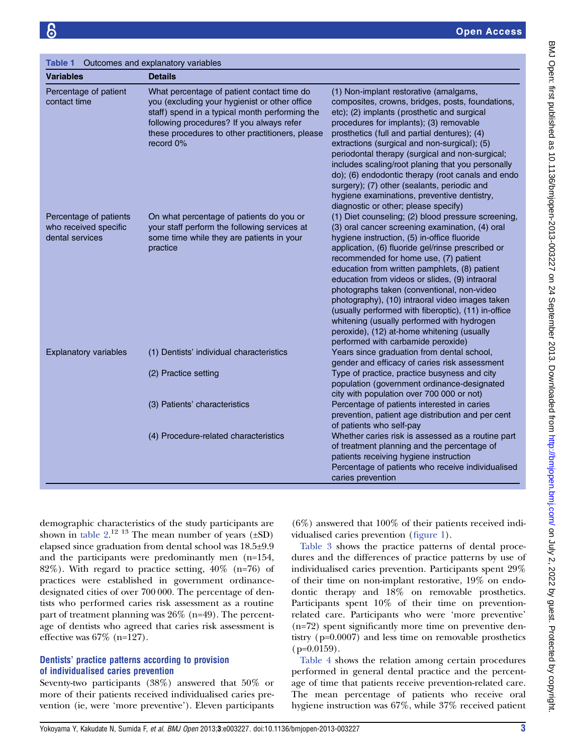| Table 1                                                            | Outcomes and explanatory variables                                                                                                                                                                                                                         |                                                                                                                                                                                                                                                                                                                                                                                                                                                                                                                                                                                                                                                 |
|--------------------------------------------------------------------|------------------------------------------------------------------------------------------------------------------------------------------------------------------------------------------------------------------------------------------------------------|-------------------------------------------------------------------------------------------------------------------------------------------------------------------------------------------------------------------------------------------------------------------------------------------------------------------------------------------------------------------------------------------------------------------------------------------------------------------------------------------------------------------------------------------------------------------------------------------------------------------------------------------------|
| <b>Variables</b>                                                   | <b>Details</b>                                                                                                                                                                                                                                             |                                                                                                                                                                                                                                                                                                                                                                                                                                                                                                                                                                                                                                                 |
| Percentage of patient<br>contact time                              | What percentage of patient contact time do<br>you (excluding your hygienist or other office<br>staff) spend in a typical month performing the<br>following procedures? If you always refer<br>these procedures to other practitioners, please<br>record 0% | (1) Non-implant restorative (amalgams,<br>composites, crowns, bridges, posts, foundations,<br>etc); (2) implants (prosthetic and surgical<br>procedures for implants); (3) removable<br>prosthetics (full and partial dentures); (4)<br>extractions (surgical and non-surgical); (5)<br>periodontal therapy (surgical and non-surgical;<br>includes scaling/root planing that you personally<br>do); (6) endodontic therapy (root canals and endo<br>surgery); (7) other (sealants, periodic and<br>hygiene examinations, preventive dentistry,<br>diagnostic or other; please specify)                                                         |
| Percentage of patients<br>who received specific<br>dental services | On what percentage of patients do you or<br>your staff perform the following services at<br>some time while they are patients in your<br>practice                                                                                                          | (1) Diet counseling; (2) blood pressure screening,<br>(3) oral cancer screening examination, (4) oral<br>hygiene instruction, (5) in-office fluoride<br>application, (6) fluoride gel/rinse prescribed or<br>recommended for home use, (7) patient<br>education from written pamphlets, (8) patient<br>education from videos or slides, (9) intraoral<br>photographs taken (conventional, non-video<br>photography), (10) intraoral video images taken<br>(usually performed with fiberoptic), (11) in-office<br>whitening (usually performed with hydrogen<br>peroxide), (12) at-home whitening (usually<br>performed with carbamide peroxide) |
| <b>Explanatory variables</b>                                       | (1) Dentists' individual characteristics                                                                                                                                                                                                                   | Years since graduation from dental school,<br>gender and efficacy of caries risk assessment                                                                                                                                                                                                                                                                                                                                                                                                                                                                                                                                                     |
|                                                                    | (2) Practice setting                                                                                                                                                                                                                                       | Type of practice, practice busyness and city<br>population (government ordinance-designated<br>city with population over 700 000 or not)                                                                                                                                                                                                                                                                                                                                                                                                                                                                                                        |
|                                                                    | (3) Patients' characteristics                                                                                                                                                                                                                              | Percentage of patients interested in caries<br>prevention, patient age distribution and per cent<br>of patients who self-pay                                                                                                                                                                                                                                                                                                                                                                                                                                                                                                                    |
|                                                                    | (4) Procedure-related characteristics                                                                                                                                                                                                                      | Whether caries risk is assessed as a routine part<br>of treatment planning and the percentage of<br>patients receiving hygiene instruction<br>Percentage of patients who receive individualised<br>caries prevention                                                                                                                                                                                                                                                                                                                                                                                                                            |

demographic characteristics of the study participants are shown in table  $2^{12}$  <sup>13</sup> The mean number of years ( $\pm SD$ ) elapsed since graduation from dental school was 18.5±9.9 and the participants were predominantly men (n=154, 82%). With regard to practice setting, 40% (n=76) of practices were established in government ordinancedesignated cities of over 700 000. The percentage of dentists who performed caries risk assessment as a routine part of treatment planning was 26% (n=49). The percentage of dentists who agreed that caries risk assessment is effective was 67% (n=127).

## Dentists' practice patterns according to provision of individualised caries prevention

Seventy-two participants (38%) answered that 50% or more of their patients received individualised caries prevention (ie, were 'more preventive'). Eleven participants

(6%) answered that 100% of their patients received individualised caries prevention (figure 1).

Table 3 shows the practice patterns of dental procedures and the differences of practice patterns by use of individualised caries prevention. Participants spent 29% of their time on non-implant restorative, 19% on endodontic therapy and 18% on removable prosthetics. Participants spent 10% of their time on preventionrelated care. Participants who were 'more preventive' (n=72) spent significantly more time on preventive dentistry (p=0.0007) and less time on removable prosthetics  $(p=0.0159)$ .

Table 4 shows the relation among certain procedures performed in general dental practice and the percentage of time that patients receive prevention-related care. The mean percentage of patients who receive oral hygiene instruction was 67%, while 37% received patient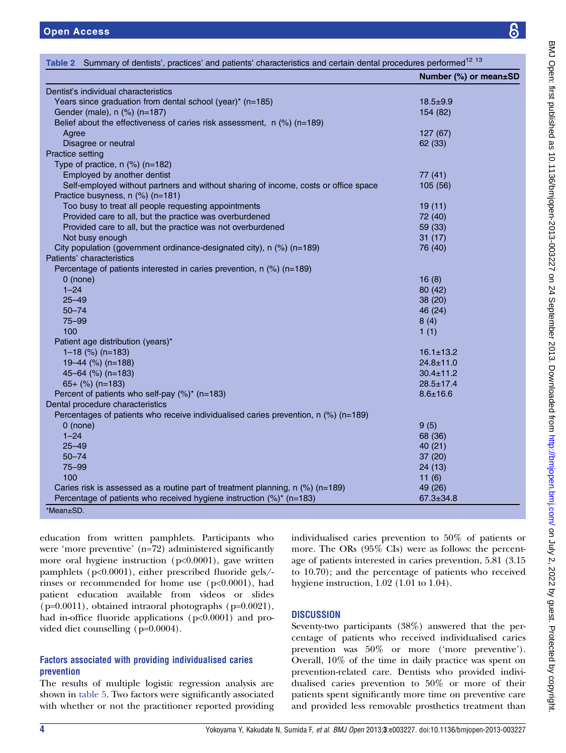|                                                                                     | Number (%) or mean±SD              |
|-------------------------------------------------------------------------------------|------------------------------------|
| Dentist's individual characteristics                                                |                                    |
| Years since graduation from dental school (year)* (n=185)                           | $18.5 + 9.9$                       |
| Gender (male), n (%) (n=187)                                                        | 154 (82)                           |
| Belief about the effectiveness of caries risk assessment, $n$ (%) (n=189)           |                                    |
| Agree                                                                               | 127(67)                            |
| Disagree or neutral                                                                 | 62(33)                             |
| Practice setting                                                                    |                                    |
| Type of practice, $n$ (%) ( $n=182$ )                                               |                                    |
| Employed by another dentist                                                         | 77 (41)                            |
| Self-employed without partners and without sharing of income, costs or office space | 105 (56)                           |
| Practice busyness, n (%) (n=181)                                                    |                                    |
| Too busy to treat all people requesting appointments                                | 19(11)                             |
| Provided care to all, but the practice was overburdened                             | 72 (40)                            |
| Provided care to all, but the practice was not overburdened                         | 59 (33)                            |
| Not busy enough                                                                     | 31(17)                             |
| City population (government ordinance-designated city), n (%) (n=189)               | 76 (40)                            |
| Patients' characteristics                                                           |                                    |
| Percentage of patients interested in caries prevention, $n$ (%) ( $n=189$ )         |                                    |
| $0$ (none)                                                                          | 16(8)                              |
| $1 - 24$                                                                            | 80 (42)                            |
| $25 - 49$                                                                           | 38 (20)                            |
| $50 - 74$                                                                           | 46 (24)                            |
| 75-99                                                                               | 8(4)                               |
| 100                                                                                 | 1(1)                               |
| Patient age distribution (years)*                                                   |                                    |
| $1-18$ (%) (n=183)<br>19-44 (%) (n=188)                                             | $16.1 \pm 13.2$<br>$24.8 \pm 11.0$ |
| 45-64 (%) (n=183)                                                                   | $30.4 \pm 11.2$                    |
| $65+$ (%) (n=183)                                                                   | $28.5 \pm 17.4$                    |
| Percent of patients who self-pay $(\%)^*$ (n=183)                                   | $8.6 + 16.6$                       |
| Dental procedure characteristics                                                    |                                    |
| Percentages of patients who receive individualised caries prevention, n (%) (n=189) |                                    |
| $0$ (none)                                                                          | 9(5)                               |
| $1 - 24$                                                                            | 68 (36)                            |
| $25 - 49$                                                                           | 40 (21)                            |
| $50 - 74$                                                                           | 37(20)                             |
| 75-99                                                                               | 24(13)                             |
| 100                                                                                 | 11(6)                              |
| Caries risk is assessed as a routine part of treatment planning, n (%) (n=189)      | 49 (26)                            |
| Percentage of patients who received hygiene instruction $(\%)^*$ (n=183)            | $67.3 \pm 34.8$                    |

education from written pamphlets. Participants who were 'more preventive' (n=72) administered significantly more oral hygiene instruction (p<0.0001), gave written pamphlets (p<0.0001), either prescribed fluoride gels/ rinses or recommended for home use  $(p<0.0001)$ , had patient education available from videos or slides (p=0.0011), obtained intraoral photographs (p=0.0021), had in-office fluoride applications (p<0.0001) and provided diet counselling (p=0.0004).

## Factors associated with providing individualised caries prevention

The results of multiple logistic regression analysis are shown in table 5. Two factors were significantly associated with whether or not the practitioner reported providing

individualised caries prevention to 50% of patients or more. The ORs (95% CIs) were as follows: the percentage of patients interested in caries prevention, 5.81 (3.15 to 10.70); and the percentage of patients who received hygiene instruction, 1.02 (1.01 to 1.04).

## **DISCUSSION**

Seventy-two participants (38%) answered that the percentage of patients who received individualised caries prevention was 50% or more ('more preventive'). Overall, 10% of the time in daily practice was spent on prevention-related care. Dentists who provided individualised caries prevention to 50% or more of their patients spent significantly more time on preventive care and provided less removable prosthetics treatment than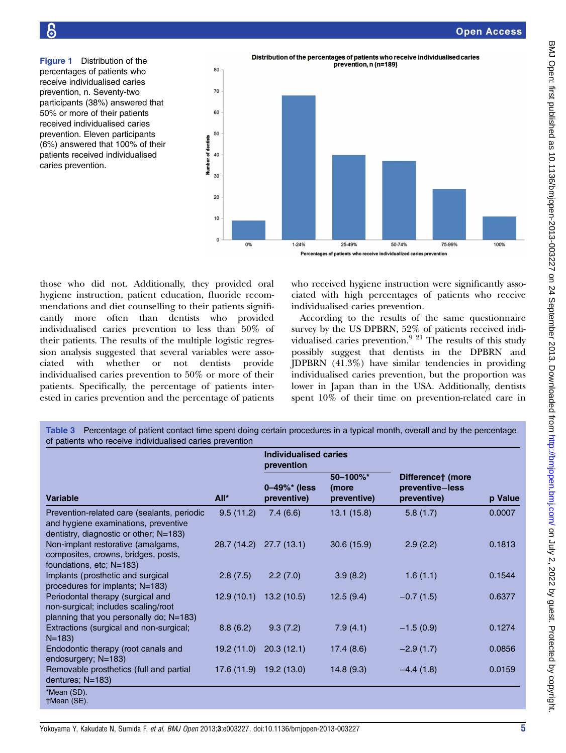Figure 1 Distribution of the percentages of patients who receive individualised caries prevention, n. Seventy-two participants (38%) answered that 50% or more of their patients received individualised caries prevention. Eleven participants (6%) answered that 100% of their patients received individualised caries prevention.



those who did not. Additionally, they provided oral hygiene instruction, patient education, fluoride recommendations and diet counselling to their patients significantly more often than dentists who provided individualised caries prevention to less than 50% of their patients. The results of the multiple logistic regression analysis suggested that several variables were associated with whether or not dentists provide individualised caries prevention to 50% or more of their patients. Specifically, the percentage of patients interested in caries prevention and the percentage of patients

who received hygiene instruction were significantly associated with high percentages of patients who receive individualised caries prevention.

According to the results of the same questionnaire survey by the US DPBRN, 52% of patients received individualised caries prevention. $9^{9}$  The results of this study possibly suggest that dentists in the DPBRN and JDPBRN (41.3%) have similar tendencies in providing individualised caries prevention, but the proportion was lower in Japan than in the USA. Additionally, dentists spent 10% of their time on prevention-related care in

|                                                                                                                               |            | Individualised caries<br>prevention |                                  |                                                     |         |
|-------------------------------------------------------------------------------------------------------------------------------|------------|-------------------------------------|----------------------------------|-----------------------------------------------------|---------|
| <b>Variable</b>                                                                                                               | All*       | $0 - 49\%$ (less<br>preventive)     | 50-100%*<br>(more<br>preventive) | Difference† (more<br>preventive-less<br>preventive) | p Value |
| Prevention-related care (sealants, periodic<br>and hygiene examinations, preventive<br>dentistry, diagnostic or other; N=183) | 9.5(11.2)  | 7.4(6.6)                            | 13.1(15.8)                       | 5.8(1.7)                                            | 0.0007  |
| Non-implant restorative (amalgams,<br>composites, crowns, bridges, posts,<br>foundations, etc; N=183)                         |            | 28.7 (14.2) 27.7 (13.1)             | 30.6(15.9)                       | 2.9(2.2)                                            | 0.1813  |
| Implants (prosthetic and surgical<br>procedures for implants; N=183)                                                          | 2.8(7.5)   | 2.2(7.0)                            | 3.9(8.2)                         | 1.6(1.1)                                            | 0.1544  |
| Periodontal therapy (surgical and<br>non-surgical; includes scaling/root<br>planning that you personally do; N=183)           | 12.9(10.1) | 13.2(10.5)                          | 12.5(9.4)                        | $-0.7(1.5)$                                         | 0.6377  |
| Extractions (surgical and non-surgical;<br>$N = 183$                                                                          | 8.8(6.2)   | 9.3(7.2)                            | 7.9(4.1)                         | $-1.5(0.9)$                                         | 0.1274  |
| Endodontic therapy (root canals and<br>endosurgery; N=183)                                                                    | 19.2(11.0) | 20.3(12.1)                          | 17.4(8.6)                        | $-2.9(1.7)$                                         | 0.0856  |
| Removable prosthetics (full and partial<br>dentures; N=183)                                                                   |            | $17.6(11.9)$ 19.2 (13.0)            | 14.8(9.3)                        | $-4.4(1.8)$                                         | 0.0159  |
| *Mean (SD).<br>†Mean (SE).                                                                                                    |            |                                     |                                  |                                                     |         |

Table 3 Percentage of patient contact time spent doing certain procedures in a typical month, overall and by the percentage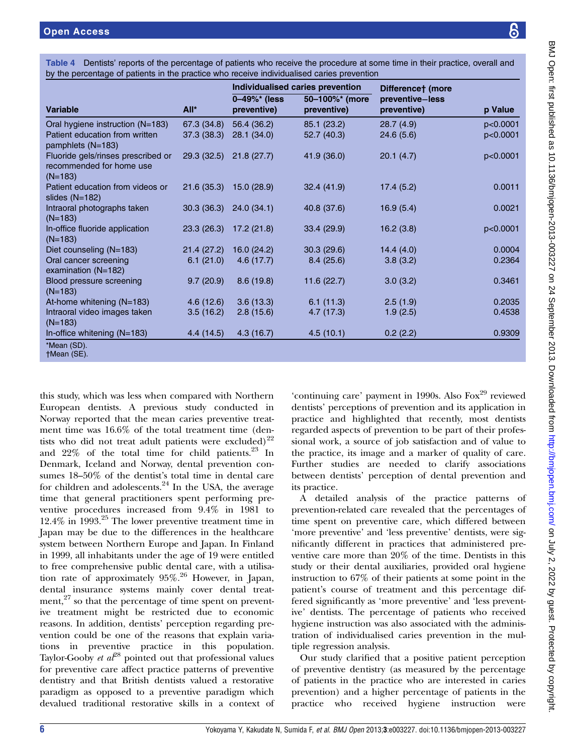(N=183)

(N=183)

(N=183)

(N=183)

(N=183)

\*Mean (SD). †Mean (SE).

Variable All\* Individualised caries prevention Difference† (more preventive−less preventive) p Value 0–49%\* (less preventive) 50–100%\* (more preventive) Oral hygiene instruction (N=183) 67.3 (34.8) 56.4 (36.2) 85.1 (23.2) 28.7 (4.9) p<0.0001 Patient education from written pamphlets (N=183) 37.3 (38.3) 28.1 (34.0) 52.7 (40.3) 24.6 (5.6) p<0.0001 Fluoride gels/rinses prescribed or recommended for home use 29.3 (32.5) 21.8 (27.7) 41.9 (36.0) 20.1 (4.7) p<0.0001 Patient education from videos or slides (N=182) 21.6 (35.3) 15.0 (28.9) 32.4 (41.9) 17.4 (5.2) 0.0011 Intraoral photographs taken 30.3 (36.3) 24.0 (34.1) 40.8 (37.6) 16.9 (5.4) 0.0021 In-office fluoride application 23.3 (26.3) 17.2 (21.8) 33.4 (29.9) 16.2 (3.8) p<0.0001 Diet counseling (N=183) 21.4 (27.2) 16.0 (24.2) 30.3 (29.6) 14.4 (4.0) 0.0004 Oral cancer screening examination (N=182) 6.1 (21.0) 4.6 (17.7) 8.4 (25.6) 3.8 (3.2) 0.2364 Blood pressure screening 9.7 (20.9) 8.6 (19.8) 11.6 (22.7) 3.0 (3.2) 0.3461 At-home whitening (N=183) 4.6 (12.6) 3.6 (13.3) 6.1 (11.3) 2.5 (1.9) 0.2035 Intraoral video images taken 3.5 (16.2) 2.8 (15.6) 4.7 (17.3) 1.9 (2.5) 0.4538 In-office whitening (N=183) 4.4 (14.5) 4.3 (16.7) 4.5 (10.1) 0.2 (2.2) 0.9309

Table 4 Dentists' reports of the percentage of patients who receive the procedure at some time in their practice, overall and by the percentage of patients in the practice who receive individualised caries prevention

this study, which was less when compared with Northern European dentists. A previous study conducted in Norway reported that the mean caries preventive treatment time was 16.6% of the total treatment time (dentists who did not treat adult patients were excluded)<sup>22</sup> and  $22\%$  of the total time for child patients.<sup>23</sup> In Denmark, Iceland and Norway, dental prevention consumes 18–50% of the dentist's total time in dental care for children and adolescents.<sup>24</sup> In the USA, the average time that general practitioners spent performing preventive procedures increased from 9.4% in 1981 to 12.4% in 1993. $25$  The lower preventive treatment time in Japan may be due to the differences in the healthcare system between Northern Europe and Japan. In Finland in 1999, all inhabitants under the age of 19 were entitled to free comprehensive public dental care, with a utilisation rate of approximately 95%.<sup>26</sup> However, in Japan, dental insurance systems mainly cover dental treatment, $^{27}$  so that the percentage of time spent on preventive treatment might be restricted due to economic reasons. In addition, dentists' perception regarding prevention could be one of the reasons that explain variations in preventive practice in this population. Taylor-Gooby et  $a^{28}$  pointed out that professional values for preventive care affect practice patterns of preventive dentistry and that British dentists valued a restorative paradigm as opposed to a preventive paradigm which devalued traditional restorative skills in a context of

'continuing care' payment in 1990s. Also  $Fox<sup>29</sup>$  reviewed dentists' perceptions of prevention and its application in practice and highlighted that recently, most dentists regarded aspects of prevention to be part of their professional work, a source of job satisfaction and of value to the practice, its image and a marker of quality of care. Further studies are needed to clarify associations between dentists' perception of dental prevention and its practice.

A detailed analysis of the practice patterns of prevention-related care revealed that the percentages of time spent on preventive care, which differed between 'more preventive' and 'less preventive' dentists, were significantly different in practices that administered preventive care more than 20% of the time. Dentists in this study or their dental auxiliaries, provided oral hygiene instruction to 67% of their patients at some point in the patient's course of treatment and this percentage differed significantly as 'more preventive' and 'less preventive' dentists. The percentage of patients who received hygiene instruction was also associated with the administration of individualised caries prevention in the multiple regression analysis.

Our study clarified that a positive patient perception of preventive dentistry (as measured by the percentage of patients in the practice who are interested in caries prevention) and a higher percentage of patients in the practice who received hygiene instruction were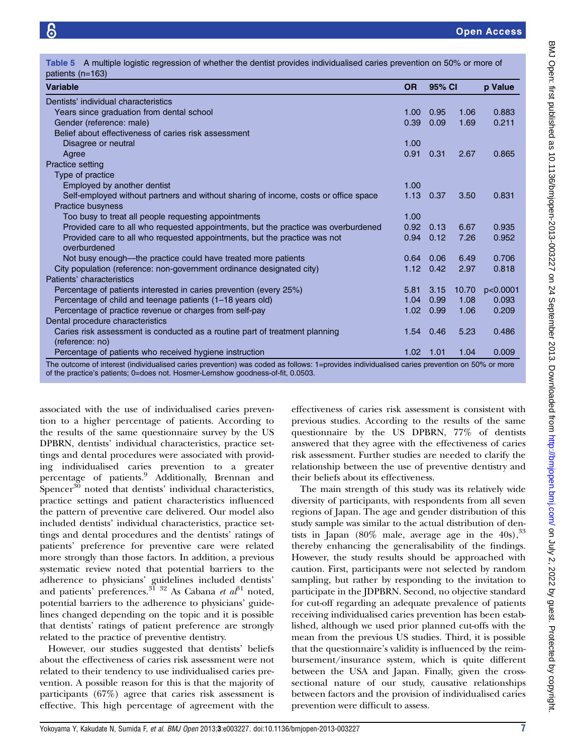|                    | Table 5 A multiple logistic regression of whether the dentist provides individualised caries prevention on 50% or more of |  |
|--------------------|---------------------------------------------------------------------------------------------------------------------------|--|
| patients $(n=163)$ |                                                                                                                           |  |

| <b>Variable</b>                                                                                                                             |      | 95% CI |       | p Value  |
|---------------------------------------------------------------------------------------------------------------------------------------------|------|--------|-------|----------|
| Dentists' individual characteristics                                                                                                        |      |        |       |          |
| Years since graduation from dental school                                                                                                   | 1.00 | 0.95   | 1.06  | 0.883    |
| Gender (reference: male)                                                                                                                    | 0.39 | 0.09   | 1.69  | 0.211    |
| Belief about effectiveness of caries risk assessment                                                                                        |      |        |       |          |
| Disagree or neutral                                                                                                                         | 1.00 |        |       |          |
| Agree                                                                                                                                       | 0.91 | 0.31   | 2.67  | 0.865    |
| <b>Practice setting</b>                                                                                                                     |      |        |       |          |
| Type of practice                                                                                                                            |      |        |       |          |
| Employed by another dentist                                                                                                                 | 1.00 |        |       |          |
| Self-employed without partners and without sharing of income, costs or office space                                                         | 1.13 | 0.37   | 3.50  | 0.831    |
| Practice busyness                                                                                                                           |      |        |       |          |
| Too busy to treat all people requesting appointments                                                                                        | 1.00 |        |       |          |
| Provided care to all who requested appointments, but the practice was overburdened                                                          | 0.92 | 0.13   | 6.67  | 0.935    |
| Provided care to all who requested appointments, but the practice was not<br>overburdened                                                   | 0.94 | 0.12   | 7.26  | 0.952    |
| Not busy enough-the practice could have treated more patients                                                                               | 0.64 | 0.06   | 6.49  | 0.706    |
| City population (reference: non-government ordinance designated city)                                                                       | 1.12 | 0.42   | 2.97  | 0.818    |
| Patients' characteristics                                                                                                                   |      |        |       |          |
| Percentage of patients interested in caries prevention (every 25%)                                                                          | 5.81 | 3.15   | 10.70 | p<0.0001 |
| Percentage of child and teenage patients (1-18 years old)                                                                                   | 1.04 | 0.99   | 1.08  | 0.093    |
| Percentage of practice revenue or charges from self-pay                                                                                     | 1.02 | 0.99   | 1.06  | 0.209    |
| Dental procedure characteristics                                                                                                            |      |        |       |          |
| Caries risk assessment is conducted as a routine part of treatment planning                                                                 | 1.54 | 0.46   | 5.23  | 0.486    |
| (reference: no)                                                                                                                             |      |        |       |          |
| Percentage of patients who received hygiene instruction                                                                                     | 1.02 | 1.01   | 1.04  | 0.009    |
| The outcome of interest (individualised caries prevention) was coded as follows: 1=provides individualised caries prevention on 50% or more |      |        |       |          |

of the practice's patients; 0=does not. Hosmer-Lemshow goodness-of-fit, 0.0503.

associated with the use of individualised caries prevention to a higher percentage of patients. According to the results of the same questionnaire survey by the US DPBRN, dentists' individual characteristics, practice settings and dental procedures were associated with providing individualised caries prevention to a greater percentage of patients.<sup>9</sup> Additionally, Brennan and Spencer $3\overline{0}$  noted that dentists' individual characteristics, practice settings and patient characteristics influenced the pattern of preventive care delivered. Our model also included dentists' individual characteristics, practice settings and dental procedures and the dentists' ratings of patients' preference for preventive care were related more strongly than those factors. In addition, a previous systematic review noted that potential barriers to the adherence to physicians' guidelines included dentists' and patients' preferences.<sup>31 32</sup> As Cabana et  $a<sup>31</sup>$  noted, potential barriers to the adherence to physicians' guidelines changed depending on the topic and it is possible that dentists' ratings of patient preference are strongly related to the practice of preventive dentistry.

However, our studies suggested that dentists' beliefs about the effectiveness of caries risk assessment were not related to their tendency to use individualised caries prevention. A possible reason for this is that the majority of participants (67%) agree that caries risk assessment is effective. This high percentage of agreement with the

effectiveness of caries risk assessment is consistent with previous studies. According to the results of the same questionnaire by the US DPBRN, 77% of dentists answered that they agree with the effectiveness of caries risk assessment. Further studies are needed to clarify the relationship between the use of preventive dentistry and their beliefs about its effectiveness.

The main strength of this study was its relatively wide diversity of participants, with respondents from all seven regions of Japan. The age and gender distribution of this study sample was similar to the actual distribution of dentists in Japan (80% male, average age in the  $40s$ ),  $33$ thereby enhancing the generalisability of the findings. However, the study results should be approached with caution. First, participants were not selected by random sampling, but rather by responding to the invitation to participate in the JDPBRN. Second, no objective standard for cut-off regarding an adequate prevalence of patients receiving individualised caries prevention has been established, although we used prior planned cut-offs with the mean from the previous US studies. Third, it is possible that the questionnaire's validity is influenced by the reimbursement/insurance system, which is quite different between the USA and Japan. Finally, given the crosssectional nature of our study, causative relationships between factors and the provision of individualised caries prevention were difficult to assess.